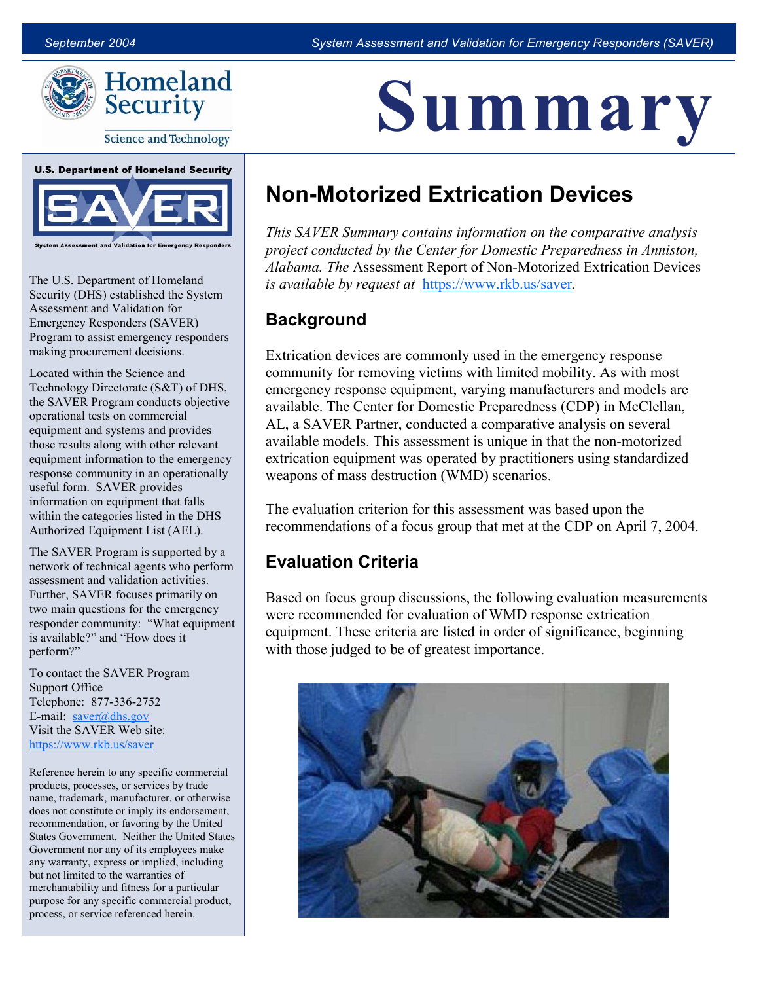Summary



**Science and Technology** 



The U.S. Department of Homeland Security (DHS) established the System Assessment and Validation for Emergency Responders (SAVER) Program to assist emergency responders making procurement decisions.

Located within the Science and Technology Directorate (S&T) of DHS, the SAVER Program conducts objective operational tests on commercial equipment and systems and provides those results along with other relevant equipment information to the emergency response community in an operationally useful form. SAVER provides information on equipment that falls within the categories listed in the DHS Authorized Equipment List (AEL).

The SAVER Program is supported by a network of technical agents who perform assessment and validation activities. Further, SAVER focuses primarily on two main questions for the emergency responder community: "What equipment is available?" and "How does it perform?"

To contact the SAVER Program Support Office Telephone: 877-336-2752 E-mail:  $saver@dhs.gov$ Visit the SAVER Web site: <https://www.rkb.us/saver>

Reference herein to any specific commercial products, processes, or services by trade name, trademark, manufacturer, or otherwise does not constitute or imply its endorsement, recommendation, or favoring by the United States Government. Neither the United States Government nor any of its employees make any warranty, express or implied, including but not limited to the warranties of merchantability and fitness for a particular purpose for any specific commercial product, process, or service referenced herein.

# Non-Motorized Extrication Devices

This SAVER Summary contains information on the comparative analysis project conducted by the Center for Domestic Preparedness in Anniston, Alabama. The Assessment Report of Non-Motorized Extrication Devices is available by request at <https://www.rkb.us/saver>.

### **Background**

Extrication devices are commonly used in the emergency response community for removing victims with limited mobility. As with most emergency response equipment, varying manufacturers and models are available. The Center for Domestic Preparedness (CDP) in McClellan, AL, a SAVER Partner, conducted a comparative analysis on several available models. This assessment is unique in that the non-motorized extrication equipment was operated by practitioners using standardized weapons of mass destruction (WMD) scenarios.

The evaluation criterion for this assessment was based upon the recommendations of a focus group that met at the CDP on April 7, 2004.

### Evaluation Criteria

Based on focus group discussions, the following evaluation measurements were recommended for evaluation of WMD response extrication equipment. These criteria are listed in order of significance, beginning with those judged to be of greatest importance.

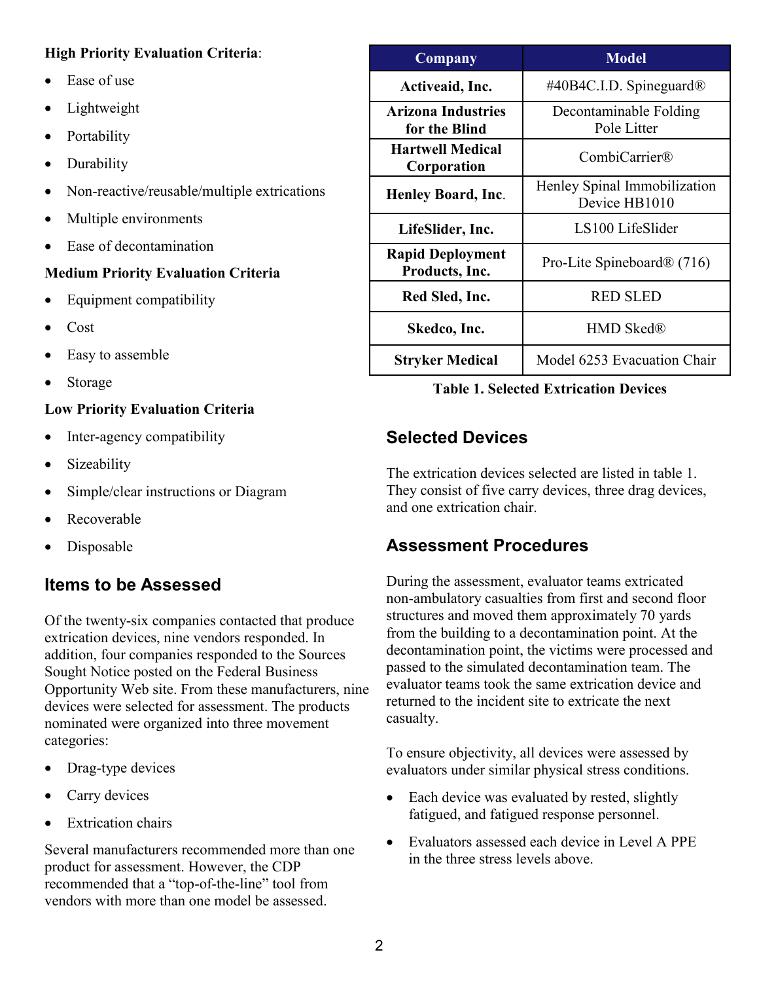#### High Priority Evaluation Criteria:

- Ease of use
- Lightweight
- Portability
- Durability
- Non-reactive/reusable/multiple extrications
- Multiple environments
- Ease of decontamination

### Medium Priority Evaluation Criteria

- Equipment compatibility
- Cost
- Easy to assemble
- Storage

### Low Priority Evaluation Criteria

- Inter-agency compatibility
- Sizeability
- Simple/clear instructions or Diagram
- Recoverable
- Disposable

# Items to be Assessed

 Sought Notice posted on the Federal Business Of the twenty-six companies contacted that produce extrication devices, nine vendors responded. In addition, four companies responded to the Sources Opportunity Web site. From these manufacturers, nine devices were selected for assessment. The products nominated were organized into three movement categories:

- Drag-type devices
- Carry devices
- Extrication chairs

Several manufacturers recommended more than one product for assessment. However, the CDP recommended that a "top-of-the-line" tool from vendors with more than one model be assessed.

| Company                                    | <b>Model</b>                                  |
|--------------------------------------------|-----------------------------------------------|
| Activeaid, Inc.                            | #40B4C.I.D. Spineguard <sup>®</sup>           |
| <b>Arizona Industries</b><br>for the Blind | Decontaminable Folding<br>Pole Litter         |
| <b>Hartwell Medical</b><br>Corporation     | CombiCarrier®                                 |
| <b>Henley Board, Inc.</b>                  | Henley Spinal Immobilization<br>Device HB1010 |
| LifeSlider, Inc.                           | LS100 LifeSlider                              |
| <b>Rapid Deployment</b><br>Products, Inc.  | Pro-Lite Spineboard $\mathcal{R}(716)$        |
| Red Sled, Inc.                             | <b>RED SLED</b>                               |
| Skedco, Inc.                               | <b>HMD Sked®</b>                              |
| <b>Stryker Medical</b>                     | Model 6253 Evacuation Chair                   |

### Table 1. Selected Extrication Devices

## Selected Devices

 and one extrication chair. The extrication devices selected are listed in table 1. They consist of five carry devices, three drag devices,

### Assessment Procedures

 structures and moved them approximately 70 yards During the assessment, evaluator teams extricated non-ambulatory casualties from first and second floor from the building to a decontamination point. At the decontamination point, the victims were processed and passed to the simulated decontamination team. The evaluator teams took the same extrication device and returned to the incident site to extricate the next casualty.

 To ensure objectivity, all devices were assessed by evaluators under similar physical stress conditions.

- Each device was evaluated by rested, slightly fatigued, and fatigued response personnel.
- Evaluators assessed each device in Level A PPE in the three stress levels above.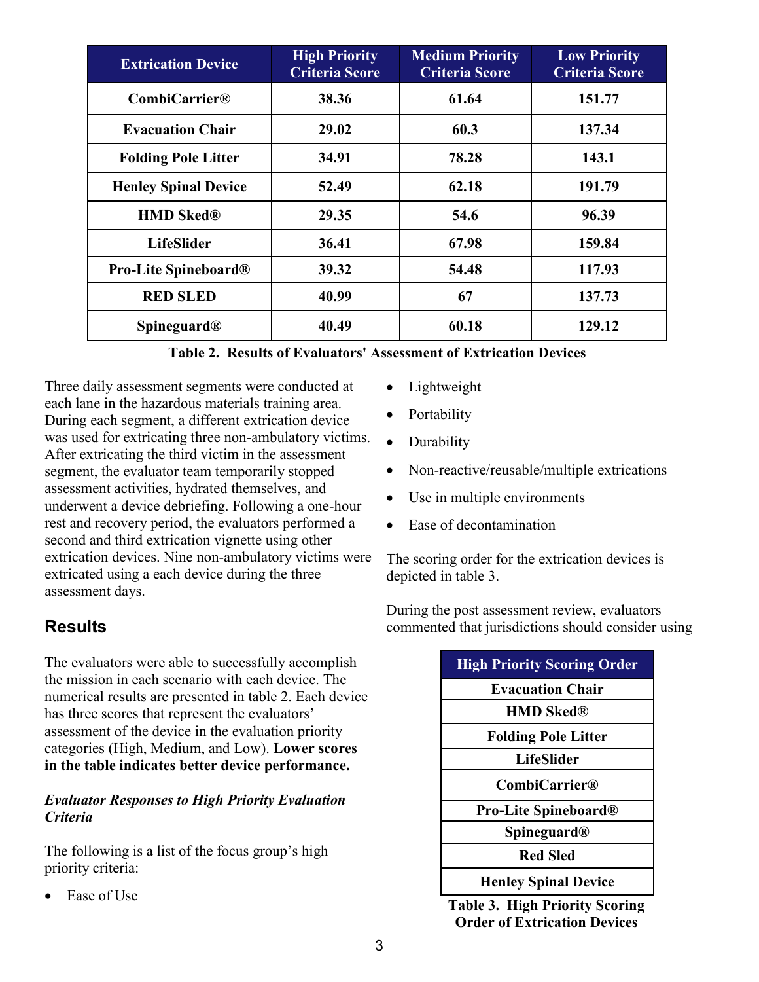| <b>Extrication Device</b>      | <b>High Priority</b><br><b>Criteria Score</b> | <b>Medium Priority</b><br><b>Criteria Score</b> | <b>Low Priority</b><br><b>Criteria Score</b> |
|--------------------------------|-----------------------------------------------|-------------------------------------------------|----------------------------------------------|
| CombiCarrier@                  | 38.36                                         | 61.64                                           | 151.77                                       |
| <b>Evacuation Chair</b>        | 29.02                                         | 60.3                                            | 137.34                                       |
| <b>Folding Pole Litter</b>     | 34.91                                         | 78.28                                           | 143.1                                        |
| <b>Henley Spinal Device</b>    | 52.49                                         | 62.18                                           | 191.79                                       |
| <b>HMD Sked®</b>               | 29.35                                         | 54.6                                            | 96.39                                        |
| <b>LifeSlider</b>              | 36.41                                         | 67.98                                           | 159.84                                       |
| <b>Pro-Lite Spineboard®</b>    | 39.32                                         | 54.48                                           | 117.93                                       |
| <b>RED SLED</b>                | 40.99                                         | 67                                              | 137.73                                       |
| <b>Spineguard</b> <sup>®</sup> | 40.49                                         | 60.18                                           | 129.12                                       |

 Three daily assessment segments were conducted at rest and recovery period, the evaluators performed a each lane in the hazardous materials training area. During each segment, a different extrication device was used for extricating three non-ambulatory victims. After extricating the third victim in the assessment segment, the evaluator team temporarily stopped assessment activities, hydrated themselves, and underwent a device debriefing. Following a one-hour second and third extrication vignette using other extrication devices. Nine non-ambulatory victims were extricated using a each device during the three assessment days.

### **Results**

The evaluators were able to successfully accomplish the mission in each scenario with each device. The numerical results are presented in table 2. Each device has three scores that represent the evaluators' assessment of the device in the evaluation priority categories (High, Medium, and Low). Lower scores in the table indicates better device performance.

#### Criteria Evaluator Responses to High Priority Evaluation

 The following is a list of the focus group's high priority criteria:

Ease of Use

- Lightweight
- Portability
- Durability
- Non-reactive/reusable/multiple extrications
- Use in multiple environments
- Ease of decontamination

The scoring order for the extrication devices is depicted in table 3.

During the post assessment review, evaluators commented that jurisdictions should consider using

| <b>High Priority Scoring Order</b> |  |
|------------------------------------|--|
| <b>Evacuation Chair</b>            |  |
| <b>HMD Sked®</b>                   |  |
| <b>Folding Pole Litter</b>         |  |
| LifeSlider                         |  |
| <b>CombiCarrier®</b>               |  |
| Pro-Lite Spineboard <sup>®</sup>   |  |
| <b>Spineguard</b> <sup>®</sup>     |  |
| <b>Red Sled</b>                    |  |
| <b>Henley Spinal Device</b>        |  |

Table 3. High Priority Scoring Order of Extrication Devices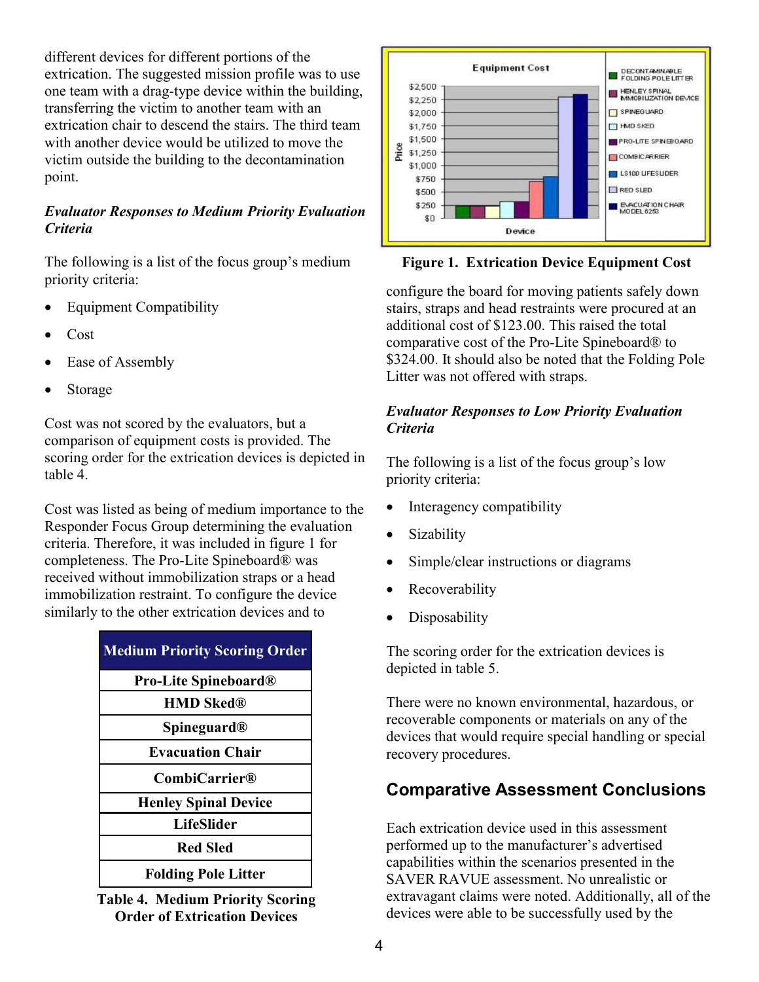extrication chair to descend the stairs. The third team different devices for different portions of the extrication. The suggested mission profile was to use one team with a drag-type device within the building, transferring the victim to another team with an with another device would be utilized to move the victim outside the building to the decontamination point.

#### Evaluator Responses to Medium Priority Evaluation **Criteria**

 The following is a list of the focus group's medium priority criteria:

- Equipment Compatibility
- Cost
- Ease of Assembly
- **Storage**

 Cost was not scored by the evaluators, but a scoring order for the extrication devices is depicted in comparison of equipment costs is provided. The table 4.

 Responder Focus Group determining the evaluation Cost was listed as being of medium importance to the criteria. Therefore, it was included in figure 1 for completeness. The Pro-Lite Spineboard® was received without immobilization straps or a head immobilization restraint. To configure the device similarly to the other extrication devices and to

| <b>Medium Priority Scoring Order</b> |
|--------------------------------------|
| <b>Pro-Lite Spineboard®</b>          |
| <b>HMD Sked®</b>                     |
| <b>Spineguard<sup>®</sup></b>        |
| <b>Evacuation Chair</b>              |
| <b>CombiCarrier®</b>                 |
| <b>Henley Spinal Device</b>          |
| <b>LifeSlider</b>                    |
| <b>Red Sled</b>                      |
| <b>Folding Pole Litter</b>           |

Table 4. Medium Priority Scoring Order of Extrication Devices



Figure 1. Extrication Device Equipment Cost

 \$324.00. It should also be noted that the Folding Pole configure the board for moving patients safely down stairs, straps and head restraints were procured at an additional cost of \$123.00. This raised the total comparative cost of the ProLite Spineboard® to Litter was not offered with straps.

#### Evaluator Responses to Low Priority Evaluation **Criteria**

 The following is a list of the focus group's low priority criteria:

- Interagency compatibility
- Sizability
- Simple/clear instructions or diagrams
- **Recoverability**
- Disposability

The scoring order for the extrication devices is depicted in table 5.

 recoverable components or materials on any of the There were no known environmental, hazardous, or devices that would require special handling or special recovery procedures.

### Comparative Assessment Conclusions

 devices were able to be successfully used by the Each extrication device used in this assessment performed up to the manufacturer's advertised capabilities within the scenarios presented in the SAVER RAVUE assessment. No unrealistic or extravagant claims were noted. Additionally, all of the